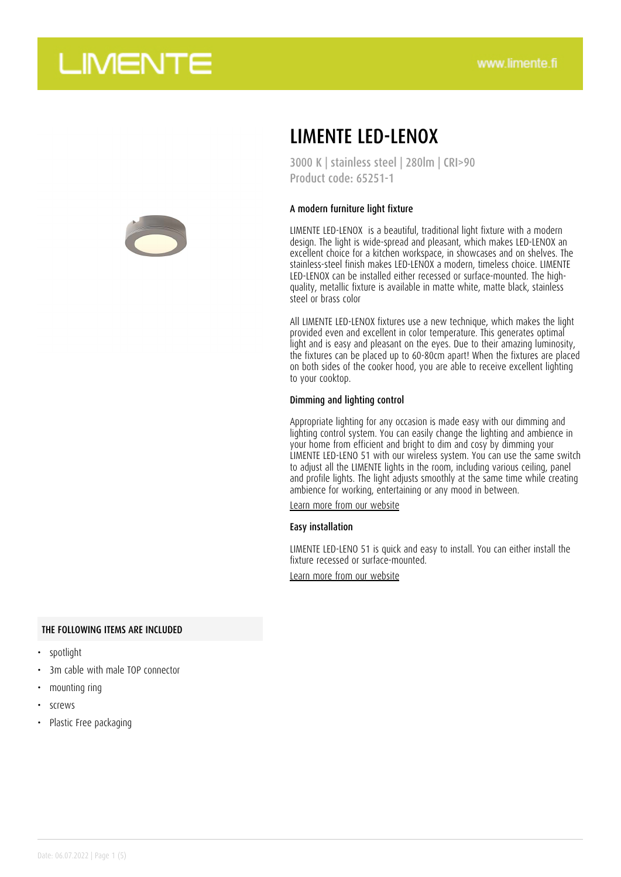



### LIMENTE LED-LENOX

3000 K | stainless steel | 280lm | CRI>90 Product code: 65251-1

#### A modern furniture light fixture

LIMENTE LED-LENOX is a beautiful, traditional light fixture with a modern design. The light is wide-spread and pleasant, which makes LED-LENOX an excellent choice for a kitchen workspace, in showcases and on shelves. The stainless-steel finish makes LED-LENOX a modern, timeless choice. LIMENTE LED-LENOX can be installed either recessed or surface-mounted. The highquality, metallic fixture is available in matte white, matte black, stainless steel or brass color

All LIMENTE LED-LENOX fixtures use a new technique, which makes the light provided even and excellent in color temperature. This generates optimal light and is easy and pleasant on the eyes. Due to their amazing luminosity, the fixtures can be placed up to 60-80cm apart! When the fixtures are placed on both sides of the cooker hood, you are able to receive excellent lighting to your cooktop.

#### Dimming and lighting control

Appropriate lighting for any occasion is made easy with our dimming and lighting control system. You can easily change the lighting and ambience in your home from efficient and bright to dim and cosy by dimming your LIMENTE LED-LENO 51 with our wireless system. You can use the same switch to adjust all the LIMENTE lights in the room, including various ceiling, panel and profile lights. The light adjusts smoothly at the same time while creating ambience for working, entertaining or any mood in between.

[Learn more from our website](https://www.limente.fi/tuotteet/65251-1)

#### Easy installation

LIMENTE LED-LENO 51 is quick and easy to install. You can either install the fixture recessed or surface-mounted.

[Learn more from our website](https://www.limente.fi/tuotteet/65251-1)

### THE FOLLOWING ITEMS ARE INCLUDED

- spotlight
- 3m cable with male TOP connector
- mounting ring
- screws
- Plastic Free packaging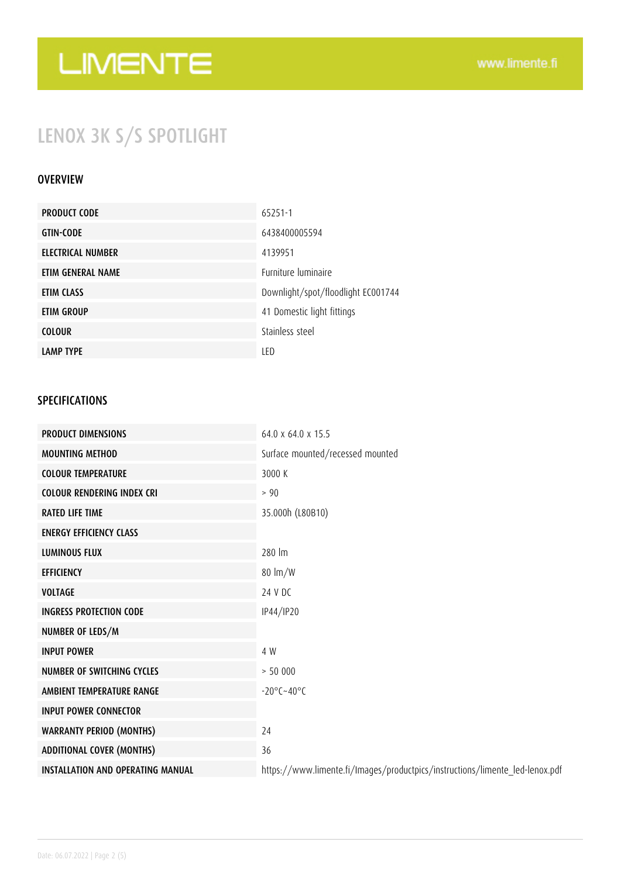## LENOX 3K S/S SPOTLIGHT

### **OVERVIEW**

| <b>PRODUCT CODE</b> | 65251-1                            |
|---------------------|------------------------------------|
| <b>GTIN-CODE</b>    | 6438400005594                      |
| ELECTRICAL NUMBER   | 4139951                            |
| ETIM GENERAL NAME   | <b>Furniture luminaire</b>         |
| ETIM CLASS          | Downlight/spot/floodlight EC001744 |
| ETIM GROUP          | 41 Domestic light fittings         |
| <b>COLOUR</b>       | Stainless steel                    |
| <b>LAMP TYPE</b>    | LED                                |

### SPECIFICATIONS

| <b>PRODUCT DIMENSIONS</b>                | 64.0 x 64.0 x 15.5                                                           |
|------------------------------------------|------------------------------------------------------------------------------|
| <b>MOUNTING METHOD</b>                   | Surface mounted/recessed mounted                                             |
| <b>COLOUR TEMPERATURE</b>                | 3000 K                                                                       |
| <b>COLOUR RENDERING INDEX CRI</b>        | > 90                                                                         |
| <b>RATED LIFE TIME</b>                   | 35.000h (L80B10)                                                             |
| <b>ENERGY EFFICIENCY CLASS</b>           |                                                                              |
| <b>LUMINOUS FLUX</b>                     | 280 lm                                                                       |
| <b>EFFICIENCY</b>                        | $80 \text{ Im}/W$                                                            |
| <b>VOLTAGE</b>                           | 24 V DC                                                                      |
| <b>INGRESS PROTECTION CODE</b>           | IP44/IP20                                                                    |
| NUMBER OF LEDS/M                         |                                                                              |
| <b>INPUT POWER</b>                       | 4 W                                                                          |
| NUMBER OF SWITCHING CYCLES               | > 50000                                                                      |
| AMBIENT TEMPERATURE RANGE                | $-20^{\circ}$ C $-40^{\circ}$ C                                              |
| <b>INPUT POWER CONNECTOR</b>             |                                                                              |
| <b>WARRANTY PERIOD (MONTHS)</b>          | 24                                                                           |
| <b>ADDITIONAL COVER (MONTHS)</b>         | 36                                                                           |
| <b>INSTALLATION AND OPERATING MANUAL</b> | https://www.limente.fi/Images/productpics/instructions/limente_led-lenox.pdf |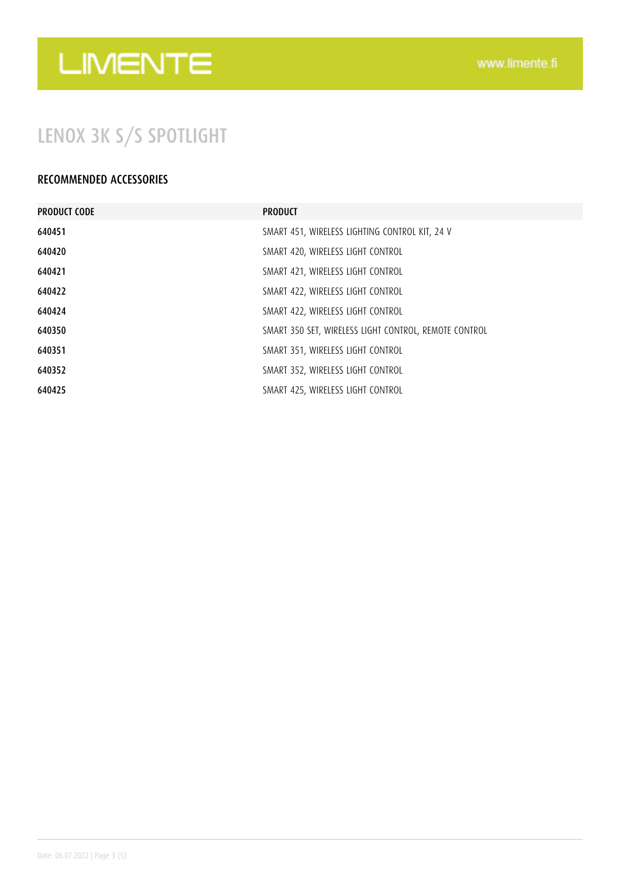## LENOX 3K S/S SPOTLIGHT

### RECOMMENDED ACCESSORIES

| <b>PRODUCT CODE</b> | <b>PRODUCT</b>                                        |
|---------------------|-------------------------------------------------------|
| 640451              | SMART 451, WIRELESS LIGHTING CONTROL KIT, 24 V        |
| 640420              | SMART 420, WIRELESS LIGHT CONTROL                     |
| 640421              | SMART 421, WIRELESS LIGHT CONTROL                     |
| 640422              | SMART 422, WIRELESS LIGHT CONTROL                     |
| 640424              | SMART 422, WIRELESS LIGHT CONTROL                     |
| 640350              | SMART 350 SET, WIRELESS LIGHT CONTROL, REMOTE CONTROL |
| 640351              | SMART 351, WIRELESS LIGHT CONTROL                     |
| 640352              | SMART 352, WIRELESS LIGHT CONTROL                     |
| 640425              | SMART 425, WIRELESS LIGHT CONTROL                     |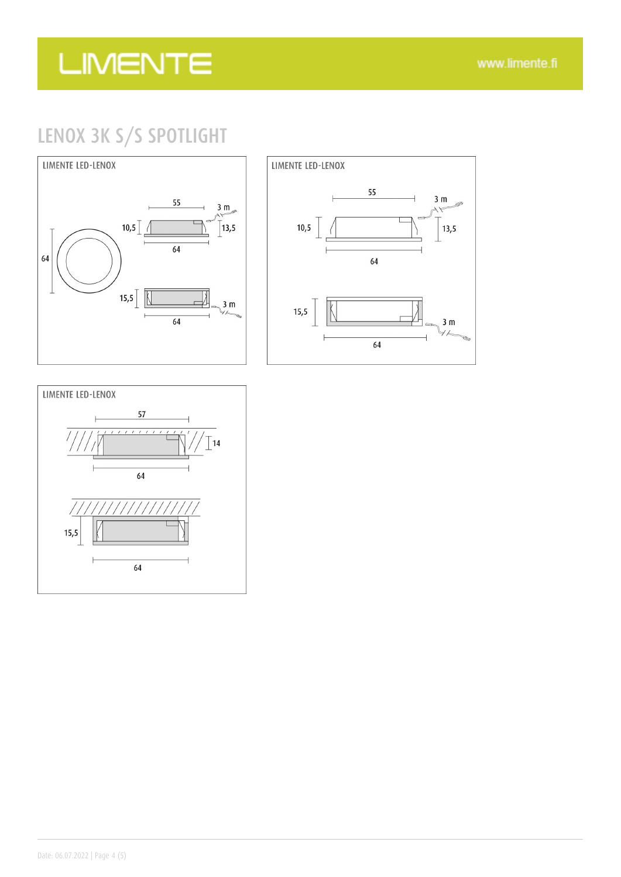## LENOX 3K S/S SPOTLIGHT